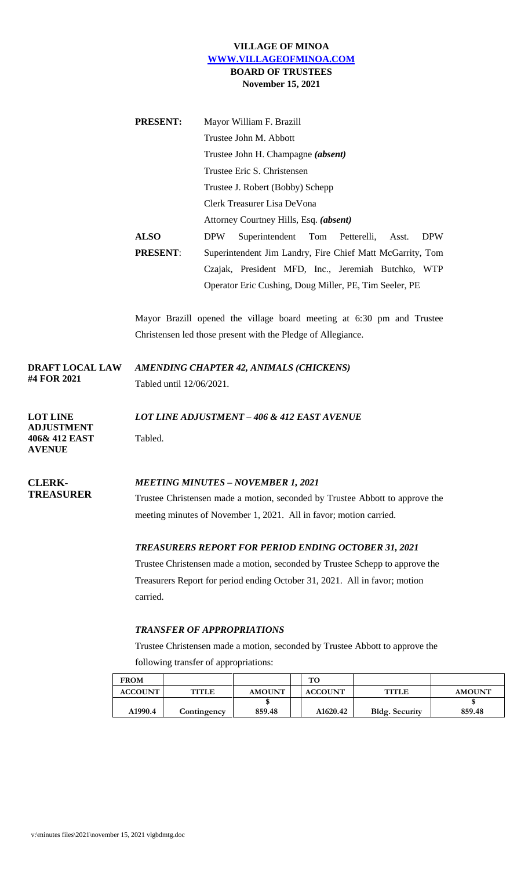### **VILLAGE OF MINOA [WWW.VILLAGEOFMINOA.COM](http://www.villageofminoa.com/) BOARD OF TRUSTEES November 15, 2021**

| <b>PRESENT:</b> | Mayor William F. Brazill                                            |  |  |  |  |  |  |
|-----------------|---------------------------------------------------------------------|--|--|--|--|--|--|
|                 | Trustee John M. Abbott                                              |  |  |  |  |  |  |
|                 | Trustee John H. Champagne (absent)                                  |  |  |  |  |  |  |
|                 | Trustee Eric S. Christensen                                         |  |  |  |  |  |  |
|                 | Trustee J. Robert (Bobby) Schepp                                    |  |  |  |  |  |  |
|                 | Clerk Treasurer Lisa DeVona                                         |  |  |  |  |  |  |
|                 | Attorney Courtney Hills, Esq. (absent)                              |  |  |  |  |  |  |
| <b>ALSO</b>     | Superintendent Tom Petterelli,<br><b>DPW</b><br>Asst.<br><b>DPW</b> |  |  |  |  |  |  |
| <b>PRESENT:</b> | Superintendent Jim Landry, Fire Chief Matt McGarrity, Tom           |  |  |  |  |  |  |
|                 | Czajak, President MFD, Inc., Jeremiah Butchko, WTP                  |  |  |  |  |  |  |
|                 | Operator Eric Cushing, Doug Miller, PE, Tim Seeler, PE              |  |  |  |  |  |  |
|                 |                                                                     |  |  |  |  |  |  |

Mayor Brazill opened the village board meeting at 6:30 pm and Trustee Christensen led those present with the Pledge of Allegiance.

**DRAFT LOCAL LAW #4 FOR 2021** *AMENDING CHAPTER 42, ANIMALS (CHICKENS)* Tabled until 12/06/2021.

**LOT LINE ADJUSTMENT 406& 412 EAST AVENUE**

*LOT LINE ADJUSTMENT – 406 & 412 EAST AVENUE*  Tabled.

**CLERK-TREASURER** *MEETING MINUTES – NOVEMBER 1, 2021* Trustee Christensen made a motion, seconded by Trustee Abbott to approve the meeting minutes of November 1, 2021. All in favor; motion carried.

#### *TREASURERS REPORT FOR PERIOD ENDING OCTOBER 31, 2021*

Trustee Christensen made a motion, seconded by Trustee Schepp to approve the Treasurers Report for period ending October 31, 2021. All in favor; motion carried.

#### *TRANSFER OF APPROPRIATIONS*

Trustee Christensen made a motion, seconded by Trustee Abbott to approve the following transfer of appropriations:

| <b>FROM</b>    |              |               | TО |                |                       |               |
|----------------|--------------|---------------|----|----------------|-----------------------|---------------|
| <b>ACCOUNT</b> | <b>TITLE</b> | <b>AMOUNT</b> |    | <b>ACCOUNT</b> | <b>TITLE</b>          | <b>AMOUNT</b> |
|                |              |               |    |                |                       |               |
| A1990.4        | Contingency  | 859.48        |    | A1620.42       | <b>Bldg.</b> Security | 859.48        |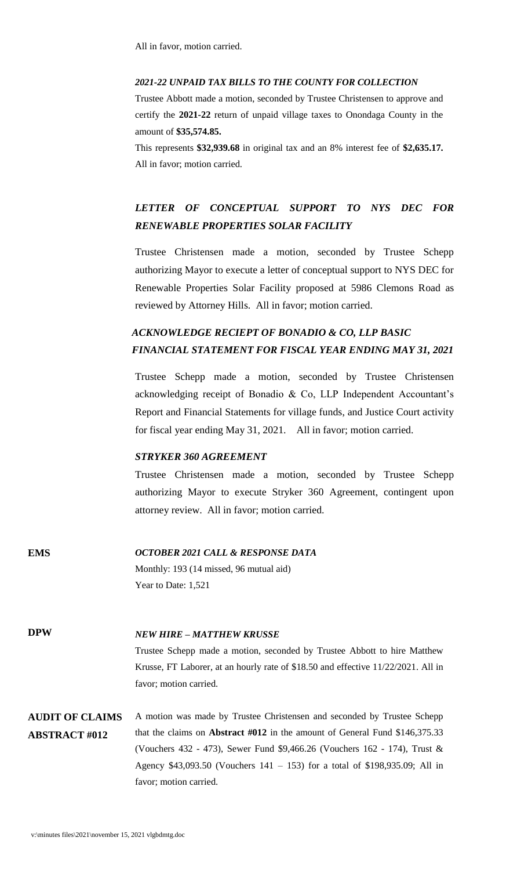#### *2021-22 UNPAID TAX BILLS TO THE COUNTY FOR COLLECTION*

Trustee Abbott made a motion, seconded by Trustee Christensen to approve and certify the **2021-22** return of unpaid village taxes to Onondaga County in the amount of **\$35,574.85.**

This represents **\$32,939.68** in original tax and an 8% interest fee of **\$2,635.17.** All in favor; motion carried.

# *LETTER OF CONCEPTUAL SUPPORT TO NYS DEC FOR RENEWABLE PROPERTIES SOLAR FACILITY*

Trustee Christensen made a motion, seconded by Trustee Schepp authorizing Mayor to execute a letter of conceptual support to NYS DEC for Renewable Properties Solar Facility proposed at 5986 Clemons Road as reviewed by Attorney Hills. All in favor; motion carried.

## *ACKNOWLEDGE RECIEPT OF BONADIO & CO, LLP BASIC FINANCIAL STATEMENT FOR FISCAL YEAR ENDING MAY 31, 2021*

Trustee Schepp made a motion, seconded by Trustee Christensen acknowledging receipt of Bonadio & Co, LLP Independent Accountant's Report and Financial Statements for village funds, and Justice Court activity for fiscal year ending May 31, 2021. All in favor; motion carried.

#### *STRYKER 360 AGREEMENT*

Trustee Christensen made a motion, seconded by Trustee Schepp authorizing Mayor to execute Stryker 360 Agreement, contingent upon attorney review. All in favor; motion carried.

### **EMS** *OCTOBER 2021 CALL & RESPONSE DATA*

Monthly: 193 (14 missed, 96 mutual aid) Year to Date: 1,521

#### **DPW** *NEW HIRE – MATTHEW KRUSSE*

Trustee Schepp made a motion, seconded by Trustee Abbott to hire Matthew Krusse, FT Laborer, at an hourly rate of \$18.50 and effective 11/22/2021. All in favor; motion carried.

#### **AUDIT OF CLAIMS ABSTRACT #012** A motion was made by Trustee Christensen and seconded by Trustee Schepp that the claims on **Abstract #012** in the amount of General Fund \$146,375.33 (Vouchers 432 - 473), Sewer Fund \$9,466.26 (Vouchers 162 - 174), Trust & Agency \$43,093.50 (Vouchers 141 – 153) for a total of \$198,935.09; All in favor; motion carried.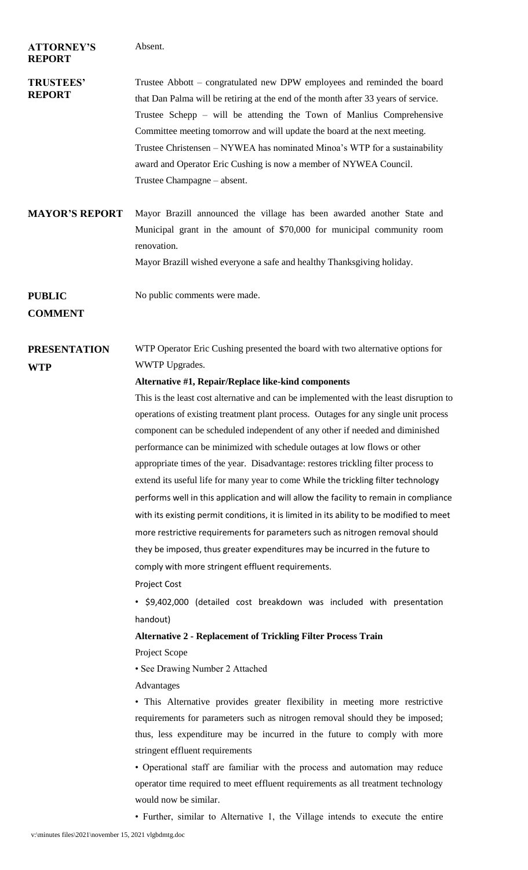| <b>ATTORNEY'S</b><br><b>REPORT</b> | Absent.                                                                                                                                                                                                                                                                                                                                                                                                                                                                                                                                                                                                                                                                                                                                                                                                                                                                                                                                                                                                                                                                                                                                                                                                                                                                                                                                                                                                                                                                                                                                                                                                                      |
|------------------------------------|------------------------------------------------------------------------------------------------------------------------------------------------------------------------------------------------------------------------------------------------------------------------------------------------------------------------------------------------------------------------------------------------------------------------------------------------------------------------------------------------------------------------------------------------------------------------------------------------------------------------------------------------------------------------------------------------------------------------------------------------------------------------------------------------------------------------------------------------------------------------------------------------------------------------------------------------------------------------------------------------------------------------------------------------------------------------------------------------------------------------------------------------------------------------------------------------------------------------------------------------------------------------------------------------------------------------------------------------------------------------------------------------------------------------------------------------------------------------------------------------------------------------------------------------------------------------------------------------------------------------------|
| <b>TRUSTEES'</b><br><b>REPORT</b>  | Trustee Abbott – congratulated new DPW employees and reminded the board<br>that Dan Palma will be retiring at the end of the month after 33 years of service.<br>Trustee Schepp - will be attending the Town of Manlius Comprehensive<br>Committee meeting tomorrow and will update the board at the next meeting.<br>Trustee Christensen – NYWEA has nominated Minoa's WTP for a sustainability<br>award and Operator Eric Cushing is now a member of NYWEA Council.<br>Trustee Champagne - absent.                                                                                                                                                                                                                                                                                                                                                                                                                                                                                                                                                                                                                                                                                                                                                                                                                                                                                                                                                                                                                                                                                                                         |
| <b>MAYOR'S REPORT</b>              | Mayor Brazill announced the village has been awarded another State and<br>Municipal grant in the amount of \$70,000 for municipal community room<br>renovation.<br>Mayor Brazill wished everyone a safe and healthy Thanksgiving holiday.                                                                                                                                                                                                                                                                                                                                                                                                                                                                                                                                                                                                                                                                                                                                                                                                                                                                                                                                                                                                                                                                                                                                                                                                                                                                                                                                                                                    |
| <b>PUBLIC</b><br><b>COMMENT</b>    | No public comments were made.                                                                                                                                                                                                                                                                                                                                                                                                                                                                                                                                                                                                                                                                                                                                                                                                                                                                                                                                                                                                                                                                                                                                                                                                                                                                                                                                                                                                                                                                                                                                                                                                |
| <b>PRESENTATION</b><br><b>WTP</b>  | WTP Operator Eric Cushing presented the board with two alternative options for<br><b>WWTP</b> Upgrades.<br>Alternative #1, Repair/Replace like-kind components<br>This is the least cost alternative and can be implemented with the least disruption to<br>operations of existing treatment plant process. Outages for any single unit process<br>component can be scheduled independent of any other if needed and diminished<br>performance can be minimized with schedule outages at low flows or other<br>appropriate times of the year. Disadvantage: restores trickling filter process to<br>extend its useful life for many year to come While the trickling filter technology<br>performs well in this application and will allow the facility to remain in compliance<br>with its existing permit conditions, it is limited in its ability to be modified to meet<br>more restrictive requirements for parameters such as nitrogen removal should<br>they be imposed, thus greater expenditures may be incurred in the future to<br>comply with more stringent effluent requirements.<br>Project Cost<br>· \$9,402,000 (detailed cost breakdown was included with presentation<br>handout)<br><b>Alternative 2 - Replacement of Trickling Filter Process Train</b><br>Project Scope<br>• See Drawing Number 2 Attached<br>Advantages<br>• This Alternative provides greater flexibility in meeting more restrictive<br>requirements for parameters such as nitrogen removal should they be imposed;<br>thus, less expenditure may be incurred in the future to comply with more<br>stringent effluent requirements |
|                                    | · Operational staff are familiar with the process and automation may reduce<br>operator time required to meet effluent requirements as all treatment technology<br>would now be similar.<br>• Further, similar to Alternative 1, the Village intends to execute the entire                                                                                                                                                                                                                                                                                                                                                                                                                                                                                                                                                                                                                                                                                                                                                                                                                                                                                                                                                                                                                                                                                                                                                                                                                                                                                                                                                   |